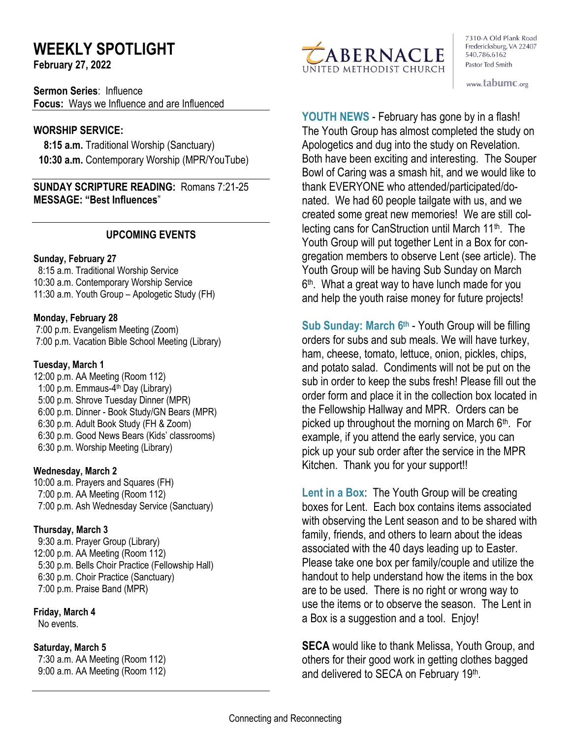# **WEEKLY SPOTLIGHT**

**February 27, 2022** 

**Sermon Series**: Influence **Focus:** Ways we Influence and are Influenced

# **WORSHIP SERVICE:**

 **8:15 a.m.** Traditional Worship (Sanctuary)  **10:30 a.m.** Contemporary Worship (MPR/YouTube)

**SUNDAY SCRIPTURE READING:** Romans 7:21-25 **MESSAGE: "Best Influences**"

# **UPCOMING EVENTS**

#### **Sunday, February 27**

 8:15 a.m. Traditional Worship Service 10:30 a.m. Contemporary Worship Service 11:30 a.m. Youth Group – Apologetic Study (FH)

#### **Monday, February 28**

7:00 p.m. Evangelism Meeting (Zoom) 7:00 p.m. Vacation Bible School Meeting (Library)

#### **Tuesday, March 1**

12:00 p.m. AA Meeting (Room 112) 1:00 p.m. Emmaus-4<sup>th</sup> Day (Library) 5:00 p.m. Shrove Tuesday Dinner (MPR) 6:00 p.m. Dinner - Book Study/GN Bears (MPR) 6:30 p.m. Adult Book Study (FH & Zoom) 6:30 p.m. Good News Bears (Kids' classrooms) 6:30 p.m. Worship Meeting (Library)

#### **Wednesday, March 2**

10:00 a.m. Prayers and Squares (FH) 7:00 p.m. AA Meeting (Room 112) 7:00 p.m. Ash Wednesday Service (Sanctuary)

#### **Thursday, March 3**

9:30 a.m. Prayer Group (Library) 12:00 p.m. AA Meeting (Room 112) 5:30 p.m. Bells Choir Practice (Fellowship Hall) 6:30 p.m. Choir Practice (Sanctuary) 7:00 p.m. Praise Band (MPR)

# **Friday, March 4**

No events.

# **Saturday, March 5**

 7:30 a.m. AA Meeting (Room 112) 9:00 a.m. AA Meeting (Room 112)



7310-A Old Plank Road Fredericksburg, VA 22407 540.786.6162 Pastor Ted Smith

www.tabumc.org

**YOUTH NEWS** - February has gone by in a flash! The Youth Group has almost completed the study on Apologetics and dug into the study on Revelation. Both have been exciting and interesting. The Souper Bowl of Caring was a smash hit, and we would like to thank EVERYONE who attended/participated/donated. We had 60 people tailgate with us, and we created some great new memories! We are still collecting cans for CanStruction until March 11<sup>th</sup>. The Youth Group will put together Lent in a Box for congregation members to observe Lent (see article). The Youth Group will be having Sub Sunday on March 6 th . What a great way to have lunch made for you and help the youth raise money for future projects!

**Sub Sunday: March 6th** - Youth Group will be filling orders for subs and sub meals. We will have turkey, ham, cheese, tomato, lettuce, onion, pickles, chips, and potato salad. Condiments will not be put on the sub in order to keep the subs fresh! Please fill out the order form and place it in the collection box located in the Fellowship Hallway and MPR. Orders can be picked up throughout the morning on March 6<sup>th</sup>. For example, if you attend the early service, you can pick up your sub order after the service in the MPR Kitchen. Thank you for your support!!

**Lent in a Box**: The Youth Group will be creating boxes for Lent. Each box contains items associated with observing the Lent season and to be shared with family, friends, and others to learn about the ideas associated with the 40 days leading up to Easter. Please take one box per family/couple and utilize the handout to help understand how the items in the box are to be used. There is no right or wrong way to use the items or to observe the season. The Lent in a Box is a suggestion and a tool. Enjoy!

**SECA** would like to thank Melissa, Youth Group, and others for their good work in getting clothes bagged and delivered to SECA on February 19<sup>th</sup>.